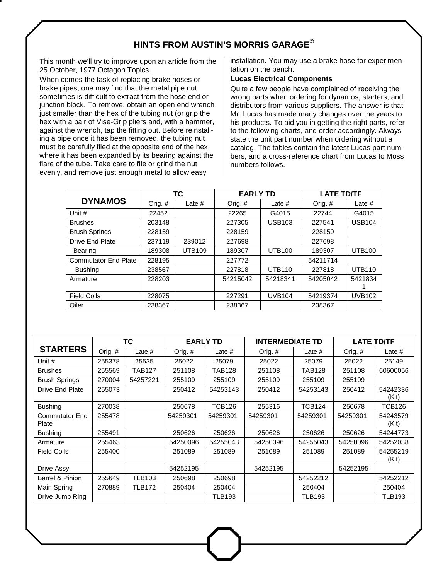## **HINTS FROM AUSTIN'S MORRIS GARAGE©**

This month we'll try to improve upon an article from the 25 October, 1977 Octagon Topics.

When comes the task of replacing brake hoses or brake pipes, one may find that the metal pipe nut sometimes is difficult to extract from the hose end or junction block. To remove, obtain an open end wrench just smaller than the hex of the tubing nut (or grip the hex with a pair of Vise-Grip pliers and, with a hammer, against the wrench, tap the fitting out. Before reinstalling a pipe once it has been removed, the tubing nut must be carefully filed at the opposite end of the hex where it has been expanded by its bearing against the flare of the tube. Take care to file or grind the nut evenly, and remove just enough metal to allow easy

installation. You may use a brake hose for experimentation on the bench.

## **Lucas Electrical Components**

Quite a few people have complained of receiving the wrong parts when ordering for dynamos, starters, and distributors from various suppliers. The answer is that Mr. Lucas has made many changes over the years to his products. To aid you in getting the right parts, refer to the following charts, and order accordingly. Always state the unit part number when ordering without a catalog. The tables contain the latest Lucas part numbers, and a cross-reference chart from Lucas to Moss numbers follows.

|                             |         | ТC            | <b>EARLY TD</b> |               | <b>LATE TD/TF</b> |               |
|-----------------------------|---------|---------------|-----------------|---------------|-------------------|---------------|
| <b>DYNAMOS</b>              | Orig. # | Late $#$      | Orig. $#$       | Late $#$      | Orig. $#$         | Late $#$      |
| Unit #                      | 22452   |               | 22265           | G4015         | 22744             | G4015         |
| <b>Brushes</b>              | 203148  |               | 227305          | <b>USB103</b> | 227541            | <b>USB104</b> |
| <b>Brush Springs</b>        | 228159  |               | 228159          |               | 228159            |               |
| <b>Drive End Plate</b>      | 237119  | 239012        | 227698          |               | 227698            |               |
| <b>Bearing</b>              | 189308  | <b>UTB109</b> | 189307          | <b>UTB100</b> | 189307            | <b>UTB100</b> |
| <b>Commutator End Plate</b> | 228195  |               | 227772          |               | 54211714          |               |
| <b>Bushing</b>              | 238567  |               | 227818          | <b>UTB110</b> | 227818            | <b>UTB110</b> |
| Armature                    | 228203  |               | 54215042        | 54218341      | 54205042          | 5421834       |
| <b>Field Coils</b>          | 228075  |               | 227291          | <b>UVB104</b> | 54219374          | <b>UVB102</b> |
| Oiler                       | 238367  |               | 238367          |               | 238367            |               |

|                                | <b>TC</b> |               | <b>EARLY TD</b> |               | <b>INTERMEDIATE TD</b> |               | <b>LATE TD/TF</b> |                   |
|--------------------------------|-----------|---------------|-----------------|---------------|------------------------|---------------|-------------------|-------------------|
| <b>STARTERS</b>                | Orig. #   | Late $#$      | Orig. #         | Late #        | Orig. #                | Late #        | Orig. #           | Late $#$          |
| Unit #                         | 255378    | 25535         | 25022           | 25079         | 25022                  | 25079         | 25022             | 25149             |
| <b>Brushes</b>                 | 255569    | TAB127        | 251108          | TAB128        | 251108                 | <b>TAB128</b> | 251108            | 60600056          |
| <b>Brush Springs</b>           | 270004    | 54257221      | 255109          | 255109        | 255109                 | 255109        | 255109            |                   |
| Drive End Plate                | 255073    |               | 250412          | 54253143      | 250412                 | 54253143      | 250412            | 54242336<br>(Kit) |
| <b>Bushing</b>                 | 270038    |               | 250678          | <b>TCB126</b> | 255316                 | <b>TCB124</b> | 250678            | <b>TCB126</b>     |
| <b>Commutator End</b><br>Plate | 255478    |               | 54259301        | 54259301      | 54259301               | 54259301      | 54259301          | 54243579<br>(Kit) |
| <b>Bushing</b>                 | 255491    |               | 250626          | 250626        | 250626                 | 250626        | 250626            | 54244773          |
| Armature                       | 255463    |               | 54250096        | 54255043      | 54250096               | 54255043      | 54250096          | 54252038          |
| <b>Field Coils</b>             | 255400    |               | 251089          | 251089        | 251089                 | 251089        | 251089            | 54255219<br>(Kit) |
| Drive Assy.                    |           |               | 54252195        |               | 54252195               |               | 54252195          |                   |
| Barrel & Pinion                | 255649    | <b>TLB103</b> | 250698          | 250698        |                        | 54252212      |                   | 54252212          |
| Main Spring                    | 270889    | <b>TLB172</b> | 250404          | 250404        |                        | 250404        |                   | 250404            |
| Drive Jump Ring                |           |               |                 | <b>TLB193</b> |                        | <b>TLB193</b> |                   | <b>TLB193</b>     |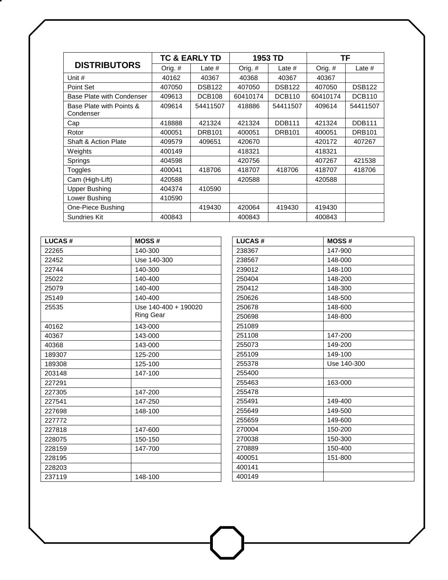|                                       | <b>TC &amp; EARLY TD</b> |               | 1953 TD   |               | ΤF       |               |
|---------------------------------------|--------------------------|---------------|-----------|---------------|----------|---------------|
| <b>DISTRIBUTORS</b>                   | Orig. #                  | Late $#$      | Orig. $#$ | Late $#$      | Orig. #  | Late $#$      |
| Unit #                                | 40162                    | 40367         | 40368     | 40367         | 40367    |               |
| Point Set                             | 407050                   | <b>DSB122</b> | 407050    | <b>DSB122</b> | 407050   | <b>DSB122</b> |
| Base Plate with Condenser             | 409613                   | <b>DCB108</b> | 60410174  | <b>DCB110</b> | 60410174 | <b>DCB110</b> |
| Base Plate with Points &<br>Condenser | 409614                   | 54411507      | 418886    | 54411507      | 409614   | 54411507      |
| Cap                                   | 418888                   | 421324        | 421324    | <b>DDB111</b> | 421324   | <b>DDB111</b> |
| Rotor                                 | 400051                   | <b>DRB101</b> | 400051    | <b>DRB101</b> | 400051   | <b>DRB101</b> |
| <b>Shaft &amp; Action Plate</b>       | 409579                   | 409651        | 420670    |               | 420172   | 407267        |
| Weights                               | 400149                   |               | 418321    |               | 418321   |               |
| Springs                               | 404598                   |               | 420756    |               | 407267   | 421538        |
| Toggles                               | 400041                   | 418706        | 418707    | 418706        | 418707   | 418706        |
| Cam (High-Lift)                       | 420588                   |               | 420588    |               | 420588   |               |
| <b>Upper Bushing</b>                  | 404374                   | 410590        |           |               |          |               |
| Lower Bushing                         | 410590                   |               |           |               |          |               |
| One-Piece Bushing                     |                          | 419430        | 420064    | 419430        | 419430   |               |
| <b>Sundries Kit</b>                   | 400843                   |               | 400843    |               | 400843   |               |

| <b>LUCAS#</b> | <b>MOSS#</b>                             |
|---------------|------------------------------------------|
| 22265         | 140-300                                  |
| 22452         | Use 140-300                              |
| 22744         | 140-300                                  |
| 25022         | 140-400                                  |
| 25079         | 140-400                                  |
| 25149         | 140-400                                  |
| 25535         | Use 140-400 + 190020<br><b>Ring Gear</b> |
| 40162         | 143-000                                  |
| 40367         | 143-000                                  |
| 40368         | 143-000                                  |
| 189307        | 125-200                                  |
| 189308        | 125-100                                  |
| 203148        | 147-100                                  |
| 227291        |                                          |
| 227305        | 147-200                                  |
| 227541        | 147-250                                  |
| 227698        | 148-100                                  |
| 227772        |                                          |
| 227818        | 147-600                                  |
| 228075        | 150-150                                  |
| 228159        | 147-700                                  |
| 228195        |                                          |
| 228203        |                                          |
| 237119        | 148-100                                  |

| <b>LUCAS#</b><br><b>MOSS#</b><br>147-900<br>238367<br>238567<br>148-000<br>239012<br>148-100<br>250404<br>148-200<br>250412<br>148-300<br>250626<br>148-500<br>250678<br>148-600<br>250698<br>148-800<br>251089<br>147-200<br>251108<br>255073<br>149-200<br>255109<br>149-100<br>Use 140-300<br>255378<br>255400<br>163-000<br>255463<br>255478<br>255491<br>149-400<br>255649<br>149-500<br>149-600<br>255659<br>270004<br>150-200<br>270038<br>150-300<br>150-400<br>270889<br>400051<br>151-800<br>400141<br>400149 |  |
|-------------------------------------------------------------------------------------------------------------------------------------------------------------------------------------------------------------------------------------------------------------------------------------------------------------------------------------------------------------------------------------------------------------------------------------------------------------------------------------------------------------------------|--|
|                                                                                                                                                                                                                                                                                                                                                                                                                                                                                                                         |  |
|                                                                                                                                                                                                                                                                                                                                                                                                                                                                                                                         |  |
|                                                                                                                                                                                                                                                                                                                                                                                                                                                                                                                         |  |
|                                                                                                                                                                                                                                                                                                                                                                                                                                                                                                                         |  |
|                                                                                                                                                                                                                                                                                                                                                                                                                                                                                                                         |  |
|                                                                                                                                                                                                                                                                                                                                                                                                                                                                                                                         |  |
|                                                                                                                                                                                                                                                                                                                                                                                                                                                                                                                         |  |
|                                                                                                                                                                                                                                                                                                                                                                                                                                                                                                                         |  |
|                                                                                                                                                                                                                                                                                                                                                                                                                                                                                                                         |  |
|                                                                                                                                                                                                                                                                                                                                                                                                                                                                                                                         |  |
|                                                                                                                                                                                                                                                                                                                                                                                                                                                                                                                         |  |
|                                                                                                                                                                                                                                                                                                                                                                                                                                                                                                                         |  |
|                                                                                                                                                                                                                                                                                                                                                                                                                                                                                                                         |  |
|                                                                                                                                                                                                                                                                                                                                                                                                                                                                                                                         |  |
|                                                                                                                                                                                                                                                                                                                                                                                                                                                                                                                         |  |
|                                                                                                                                                                                                                                                                                                                                                                                                                                                                                                                         |  |
|                                                                                                                                                                                                                                                                                                                                                                                                                                                                                                                         |  |
|                                                                                                                                                                                                                                                                                                                                                                                                                                                                                                                         |  |
|                                                                                                                                                                                                                                                                                                                                                                                                                                                                                                                         |  |
|                                                                                                                                                                                                                                                                                                                                                                                                                                                                                                                         |  |
|                                                                                                                                                                                                                                                                                                                                                                                                                                                                                                                         |  |
|                                                                                                                                                                                                                                                                                                                                                                                                                                                                                                                         |  |
|                                                                                                                                                                                                                                                                                                                                                                                                                                                                                                                         |  |
|                                                                                                                                                                                                                                                                                                                                                                                                                                                                                                                         |  |
|                                                                                                                                                                                                                                                                                                                                                                                                                                                                                                                         |  |
|                                                                                                                                                                                                                                                                                                                                                                                                                                                                                                                         |  |